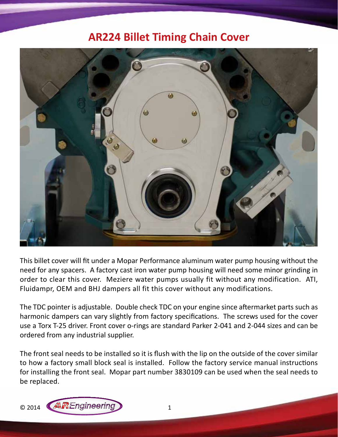## **AR224 Billet Timing Chain Cover**



This billet cover will fit under a Mopar Performance aluminum water pump housing without the need for any spacers. A factory cast iron water pump housing will need some minor grinding in order to clear this cover. Meziere water pumps usually fit without any modification. ATI, Fluidampr, OEM and BHJ dampers all fit this cover without any modifications.

The TDC pointer is adjustable. Double check TDC on your engine since aftermarket parts such as harmonic dampers can vary slightly from factory specifications. The screws used for the cover use a Torx T-25 driver. Front cover o-rings are standard Parker 2-041 and 2-044 sizes and can be ordered from any industrial supplier.

The front seal needs to be installed so it is flush with the lip on the outside of the cover similar to how a factory small block seal is installed. Follow the factory service manual instructions for installing the front seal. Mopar part number 3830109 can be used when the seal needs to be replaced.